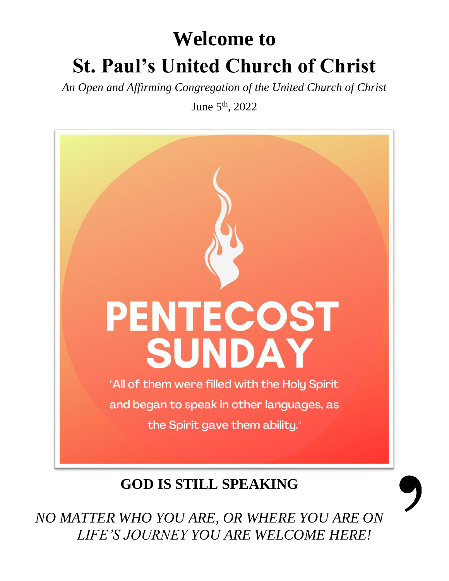# **Welcome to St. Paul's United Church of Christ**

*An Open and Affirming Congregation of the United Church of Christ*

June 5th, 2022



### **GOD IS STILL SPEAKING**

*NO MATTER WHO YOU ARE, OR WHERE YOU ARE ON LIFE'S JOURNEY YOU ARE WELCOME HERE!*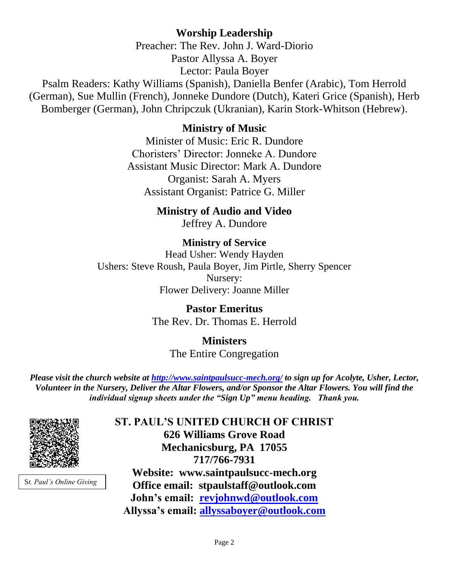#### **Worship Leadership**

Preacher: The Rev. John J. Ward-Diorio Pastor Allyssa A. Boyer Lector: Paula Boyer

Psalm Readers: Kathy Williams (Spanish), Daniella Benfer (Arabic), Tom Herrold (German), Sue Mullin (French), Jonneke Dundore (Dutch), Kateri Grice (Spanish), Herb Bomberger (German), John Chripczuk (Ukranian), Karin Stork-Whitson (Hebrew).

#### **Ministry of Music**

Minister of Music: Eric R. Dundore Choristers' Director: Jonneke A. Dundore Assistant Music Director: Mark A. Dundore Organist: Sarah A. Myers Assistant Organist: Patrice G. Miller

#### **Ministry of Audio and Video**

Jeffrey A. Dundore

#### **Ministry of Service** Head Usher: Wendy Hayden Ushers: Steve Roush, Paula Boyer, Jim Pirtle, Sherry Spencer Nursery: Flower Delivery: Joanne Miller

#### **Pastor Emeritus** The Rev. Dr. Thomas E. Herrold

#### **Ministers** The Entire Congregation

*Please visit the church website at<http://www.saintpaulsucc-mech.org/> to sign up for Acolyte, Usher, Lector, Volunteer in the Nursery, Deliver the Altar Flowers, and/or Sponsor the Altar Flowers. You will find the individual signup sheets under the "Sign Up" menu heading. Thank you.*



S*t. Paul's Online Giving*

**ST. PAUL'S UNITED CHURCH OF CHRIST 626 Williams Grove Road Mechanicsburg, PA 17055 717/766-7931 Website: www.saintpaulsucc-mech.org Office email: stpaulstaff@outlook.com John's email: [revjohnwd@outlook.com](mailto:revjohnwd@outlook.com) Allyssa's email: [allyssaboyer@outlook.com](mailto:allyssaboyer@outlook.com)**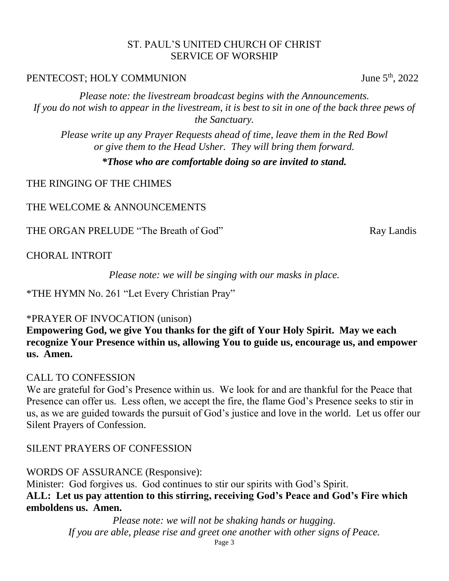#### ST. PAUL'S UNITED CHURCH OF CHRIST SERVICE OF WORSHIP

#### PENTECOST; HOLY COMMUNION June 5<sup>th</sup>, 2022

*Please note: the livestream broadcast begins with the Announcements. If you do not wish to appear in the livestream, it is best to sit in one of the back three pews of the Sanctuary.*

*Please write up any Prayer Requests ahead of time, leave them in the Red Bowl or give them to the Head Usher. They will bring them forward.*

*\*Those who are comfortable doing so are invited to stand.*

THE RINGING OF THE CHIMES

THE WELCOME & ANNOUNCEMENTS

THE ORGAN PRELUDE "The Breath of God" Ray Landis

CHORAL INTROIT

*Please note: we will be singing with our masks in place.*

\*THE HYMN No. 261 "Let Every Christian Pray"

#### \*PRAYER OF INVOCATION (unison)

**Empowering God, we give You thanks for the gift of Your Holy Spirit. May we each recognize Your Presence within us, allowing You to guide us, encourage us, and empower us. Amen.** 

#### CALL TO CONFESSION

We are grateful for God's Presence within us. We look for and are thankful for the Peace that Presence can offer us. Less often, we accept the fire, the flame God's Presence seeks to stir in us, as we are guided towards the pursuit of God's justice and love in the world. Let us offer our Silent Prayers of Confession.

#### SILENT PRAYERS OF CONFESSION

WORDS OF ASSURANCE (Responsive):

Minister: God forgives us. God continues to stir our spirits with God's Spirit. **ALL: Let us pay attention to this stirring, receiving God's Peace and God's Fire which emboldens us. Amen.** 

> *Please note: we will not be shaking hands or hugging. If you are able, please rise and greet one another with other signs of Peace.*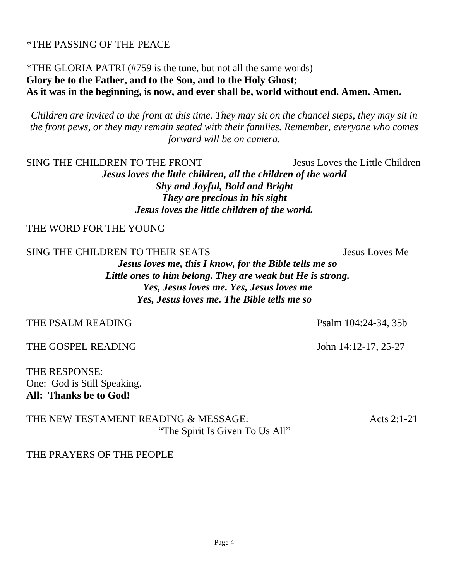#### \*THE PASSING OF THE PEACE

#### \*THE GLORIA PATRI (#759 is the tune, but not all the same words) **Glory be to the Father, and to the Son, and to the Holy Ghost; As it was in the beginning, is now, and ever shall be, world without end. Amen. Amen.**

*Children are invited to the front at this time. They may sit on the chancel steps, they may sit in the front pews, or they may remain seated with their families. Remember, everyone who comes forward will be on camera.* 

SING THE CHILDREN TO THE FRONT Jesus Loves the Little Children

*Jesus loves the little children, all the children of the world Shy and Joyful, Bold and Bright They are precious in his sight Jesus loves the little children of the world.*

THE WORD FOR THE YOUNG

SING THE CHILDREN TO THEIR SEATS Jesus Loves Me

*Jesus loves me, this I know, for the Bible tells me so Little ones to him belong. They are weak but He is strong. Yes, Jesus loves me. Yes, Jesus loves me Yes, Jesus loves me. The Bible tells me so*

THE PSALM READING Psalm 104:24-34, 35b

THE GOSPEL READING John 14:12-17, 25-27

THE RESPONSE: One: God is Still Speaking. **All: Thanks be to God!** 

THE NEW TESTAMENT READING & MESSAGE:  $\triangle$  Acts 2:1-21 "The Spirit Is Given To Us All"

THE PRAYERS OF THE PEOPLE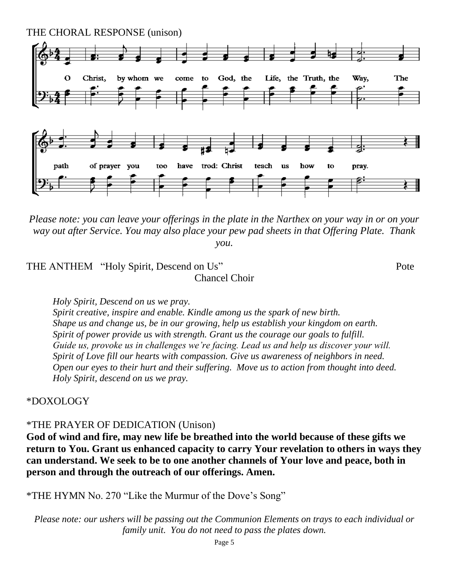

*Please note: you can leave your offerings in the plate in the Narthex on your way in or on your way out after Service. You may also place your pew pad sheets in that Offering Plate. Thank you.* 

THE ANTHEM "Holy Spirit, Descend on Us" Pote Chancel Choir

*Holy Spirit, Descend on us we pray. Spirit creative, inspire and enable. Kindle among us the spark of new birth. Shape us and change us, be in our growing, help us establish your kingdom on earth. Spirit of power provide us with strength. Grant us the courage our goals to fulfill. Guide us, provoke us in challenges we're facing. Lead us and help us discover your will. Spirit of Love fill our hearts with compassion. Give us awareness of neighbors in need.*

*Open our eyes to their hurt and their suffering. Move us to action from thought into deed. Holy Spirit, descend on us we pray.*

#### \*DOXOLOGY

#### \*THE PRAYER OF DEDICATION (Unison)

**God of wind and fire, may new life be breathed into the world because of these gifts we return to You. Grant us enhanced capacity to carry Your revelation to others in ways they can understand. We seek to be to one another channels of Your love and peace, both in person and through the outreach of our offerings. Amen.** 

\*THE HYMN No. 270 "Like the Murmur of the Dove's Song"

*Please note: our ushers will be passing out the Communion Elements on trays to each individual or family unit. You do not need to pass the plates down.*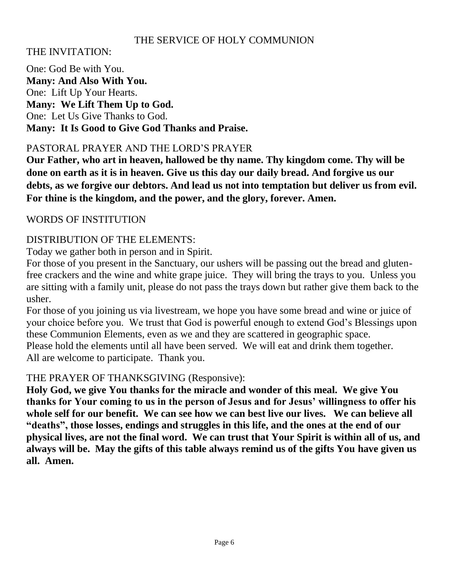#### THE SERVICE OF HOLY COMMUNION

#### THE INVITATION:

One: God Be with You. **Many: And Also With You.** One: Lift Up Your Hearts. **Many: We Lift Them Up to God.** One: Let Us Give Thanks to God. **Many: It Is Good to Give God Thanks and Praise.**

#### PASTORAL PRAYER AND THE LORD'S PRAYER

**Our Father, who art in heaven, hallowed be thy name. Thy kingdom come. Thy will be done on earth as it is in heaven. Give us this day our daily bread. And forgive us our debts, as we forgive our debtors. And lead us not into temptation but deliver us from evil. For thine is the kingdom, and the power, and the glory, forever. Amen.** 

#### WORDS OF INSTITUTION

#### DISTRIBUTION OF THE ELEMENTS:

Today we gather both in person and in Spirit.

For those of you present in the Sanctuary, our ushers will be passing out the bread and glutenfree crackers and the wine and white grape juice. They will bring the trays to you. Unless you are sitting with a family unit, please do not pass the trays down but rather give them back to the usher.

For those of you joining us via livestream, we hope you have some bread and wine or juice of your choice before you. We trust that God is powerful enough to extend God's Blessings upon these Communion Elements, even as we and they are scattered in geographic space. Please hold the elements until all have been served. We will eat and drink them together. All are welcome to participate. Thank you.

#### THE PRAYER OF THANKSGIVING (Responsive):

**Holy God, we give You thanks for the miracle and wonder of this meal. We give You thanks for Your coming to us in the person of Jesus and for Jesus' willingness to offer his whole self for our benefit. We can see how we can best live our lives. We can believe all "deaths", those losses, endings and struggles in this life, and the ones at the end of our physical lives, are not the final word. We can trust that Your Spirit is within all of us, and always will be. May the gifts of this table always remind us of the gifts You have given us all. Amen.**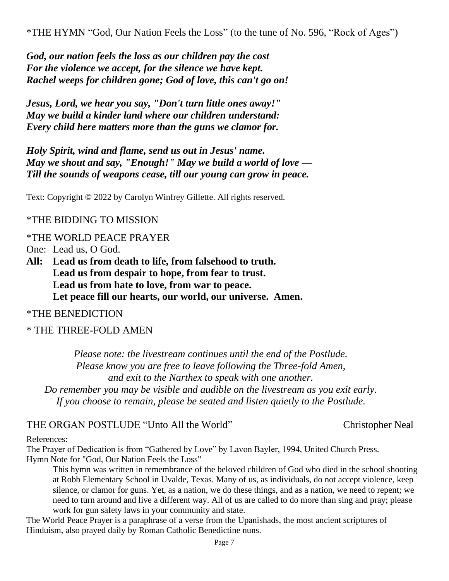\*THE HYMN "God, Our Nation Feels the Loss" (to the tune of No. 596, "Rock of Ages")

*God, our nation feels the loss as our children pay the cost For the violence we accept, for the silence we have kept. Rachel weeps for children gone; God of love, this can't go on!*

*Jesus, Lord, we hear you say, "Don't turn little ones away!" May we build a kinder land where our children understand: Every child here matters more than the guns we clamor for.*

*Holy Spirit, wind and flame, send us out in Jesus' name. May we shout and say, "Enough!" May we build a world of love — Till the sounds of weapons cease, till our young can grow in peace.*

Text: Copyright © 2022 by Carolyn Winfrey Gillette. All rights reserved.

#### \*THE BIDDING TO MISSION

\*THE WORLD PEACE PRAYER

One: Lead us, O God.

**All: Lead us from death to life, from falsehood to truth. Lead us from despair to hope, from fear to trust. Lead us from hate to love, from war to peace. Let peace fill our hearts, our world, our universe. Amen.**

#### \*THE BENEDICTION

#### \* THE THREE-FOLD AMEN

*Please note: the livestream continues until the end of the Postlude. Please know you are free to leave following the Three-fold Amen, and exit to the Narthex to speak with one another. Do remember you may be visible and audible on the livestream as you exit early. If you choose to remain, please be seated and listen quietly to the Postlude.*

#### THE ORGAN POSTLUDE "Unto All the World" Christopher Neal

#### References:

The Prayer of Dedication is from "Gathered by Love" by Lavon Bayler, 1994, United Church Press. Hymn Note for "God, Our Nation Feels the Loss"

This hymn was written in remembrance of the beloved children of God who died in the school shooting at Robb Elementary School in Uvalde, Texas. Many of us, as individuals, do not accept violence, keep silence, or clamor for guns. Yet, as a nation, we do these things, and as a nation, we need to repent; we need to turn around and live a different way. All of us are called to do more than sing and pray; please work for gun safety laws in your community and state.

The World Peace Prayer is a paraphrase of a verse from the Upanishads, the most ancient scriptures of Hinduism, also prayed daily by Roman Catholic Benedictine nuns.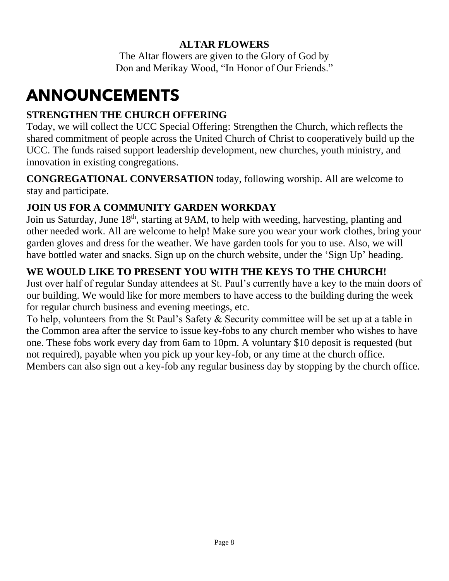#### **ALTAR FLOWERS**

The Altar flowers are given to the Glory of God by Don and Merikay Wood, "In Honor of Our Friends."

## **ANNOUNCEMENTS**

#### **STRENGTHEN THE CHURCH OFFERING**

Today, we will collect the UCC Special Offering: Strengthen the Church, which reflects the shared commitment of people across the United Church of Christ to cooperatively build up the UCC. The funds raised support leadership development, new churches, youth ministry, and innovation in existing congregations.

**CONGREGATIONAL CONVERSATION** today, following worship. All are welcome to stay and participate.

#### **JOIN US FOR A COMMUNITY GARDEN WORKDAY**

Join us Saturday, June 18<sup>th</sup>, starting at 9AM, to help with weeding, harvesting, planting and other needed work. All are welcome to help! Make sure you wear your work clothes, bring your garden gloves and dress for the weather. We have garden tools for you to use. Also, we will have bottled water and snacks. Sign up on the church website, under the 'Sign Up' heading.

#### **WE WOULD LIKE TO PRESENT YOU WITH THE KEYS TO THE CHURCH!**

Just over half of regular Sunday attendees at St. Paul's currently have a key to the main doors of our building. We would like for more members to have access to the building during the week for regular church business and evening meetings, etc.

To help, volunteers from the St Paul's Safety & Security committee will be set up at a table in the Common area after the service to issue key-fobs to any church member who wishes to have one. These fobs work every day from 6am to 10pm. A voluntary \$10 deposit is requested (but not required), payable when you pick up your key-fob, or any time at the church office. Members can also sign out a key-fob any regular business day by stopping by the church office.